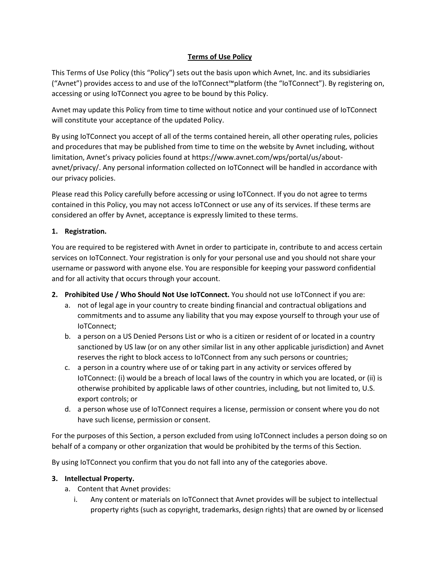# **Terms of Use Policy**

This Terms of Use Policy (this "Policy") sets out the basis upon which Avnet, Inc. and its subsidiaries ("Avnet") provides access to and use of the IoTConnect™platform (the "IoTConnect"). By registering on, accessing or using IoTConnect you agree to be bound by this Policy.

Avnet may update this Policy from time to time without notice and your continued use of IoTConnect will constitute your acceptance of the updated Policy.

By using IoTConnect you accept of all of the terms contained herein, all other operating rules, policies and procedures that may be published from time to time on the website by Avnet including, without limitation, Avnet's privacy policies found at https://www.avnet.com/wps/portal/us/aboutavnet/privacy/. Any personal information collected on IoTConnect will be handled in accordance with our privacy policies.

Please read this Policy carefully before accessing or using IoTConnect. If you do not agree to terms contained in this Policy, you may not access IoTConnect or use any of its services. If these terms are considered an offer by Avnet, acceptance is expressly limited to these terms.

## **1. Registration.**

You are required to be registered with Avnet in order to participate in, contribute to and access certain services on IoTConnect. Your registration is only for your personal use and you should not share your username or password with anyone else. You are responsible for keeping your password confidential and for all activity that occurs through your account.

- **2. Prohibited Use / Who Should Not Use IoTConnect.** You should not use IoTConnect if you are:
	- a. not of legal age in your country to create binding financial and contractual obligations and commitments and to assume any liability that you may expose yourself to through your use of IoTConnect;
	- b. a person on a US Denied Persons List or who is a citizen or resident of or located in a country sanctioned by US law (or on any other similar list in any other applicable jurisdiction) and Avnet reserves the right to block access to IoTConnect from any such persons or countries;
	- c. a person in a country where use of or taking part in any activity or services offered by IoTConnect: (i) would be a breach of local laws of the country in which you are located, or (ii) is otherwise prohibited by applicable laws of other countries, including, but not limited to, U.S. export controls; or
	- d. a person whose use of IoTConnect requires a license, permission or consent where you do not have such license, permission or consent.

For the purposes of this Section, a person excluded from using IoTConnect includes a person doing so on behalf of a company or other organization that would be prohibited by the terms of this Section.

By using IoTConnect you confirm that you do not fall into any of the categories above.

## **3. Intellectual Property.**

- a. Content that Avnet provides:
	- i. Any content or materials on IoTConnect that Avnet provides will be subject to intellectual property rights (such as copyright, trademarks, design rights) that are owned by or licensed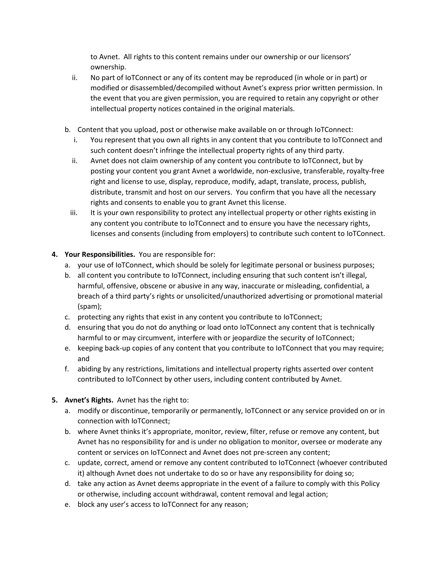to Avnet. All rights to this content remains under our ownership or our licensors' ownership.

- ii. No part of IoTConnect or any of its content may be reproduced (in whole or in part) or modified or disassembled/decompiled without Avnet's express prior written permission. In the event that you are given permission, you are required to retain any copyright or other intellectual property notices contained in the original materials.
- b. Content that you upload, post or otherwise make available on or through IoTConnect:
	- i. You represent that you own all rights in any content that you contribute to IoTConnect and such content doesn't infringe the intellectual property rights of any third party.
	- ii. Avnet does not claim ownership of any content you contribute to IoTConnect, but by posting your content you grant Avnet a worldwide, non-exclusive, transferable, royalty-free right and license to use, display, reproduce, modify, adapt, translate, process, publish, distribute, transmit and host on our servers. You confirm that you have all the necessary rights and consents to enable you to grant Avnet this license.
	- iii. It is your own responsibility to protect any intellectual property or other rights existing in any content you contribute to IoTConnect and to ensure you have the necessary rights, licenses and consents (including from employers) to contribute such content to IoTConnect.

## **4. Your Responsibilities.** You are responsible for:

- a. your use of IoTConnect, which should be solely for legitimate personal or business purposes;
- b. all content you contribute to IoTConnect, including ensuring that such content isn't illegal, harmful, offensive, obscene or abusive in any way, inaccurate or misleading, confidential, a breach of a third party's rights or unsolicited/unauthorized advertising or promotional material (spam);
- c. protecting any rights that exist in any content you contribute to IoTConnect;
- d. ensuring that you do not do anything or load onto IoTConnect any content that is technically harmful to or may circumvent, interfere with or jeopardize the security of IoTConnect;
- e. keeping back-up copies of any content that you contribute to IoTConnect that you may require; and
- f. abiding by any restrictions, limitations and intellectual property rights asserted over content contributed to IoTConnect by other users, including content contributed by Avnet.
- **5. Avnet's Rights.** Avnet has the right to:
	- a. modify or discontinue, temporarily or permanently, IoTConnect or any service provided on or in connection with IoTConnect;
	- b. where Avnet thinks it's appropriate, monitor, review, filter, refuse or remove any content, but Avnet has no responsibility for and is under no obligation to monitor, oversee or moderate any content or services on IoTConnect and Avnet does not pre-screen any content;
	- c. update, correct, amend or remove any content contributed to IoTConnect (whoever contributed it) although Avnet does not undertake to do so or have any responsibility for doing so;
	- d. take any action as Avnet deems appropriate in the event of a failure to comply with this Policy or otherwise, including account withdrawal, content removal and legal action;
	- e. block any user's access to IoTConnect for any reason;